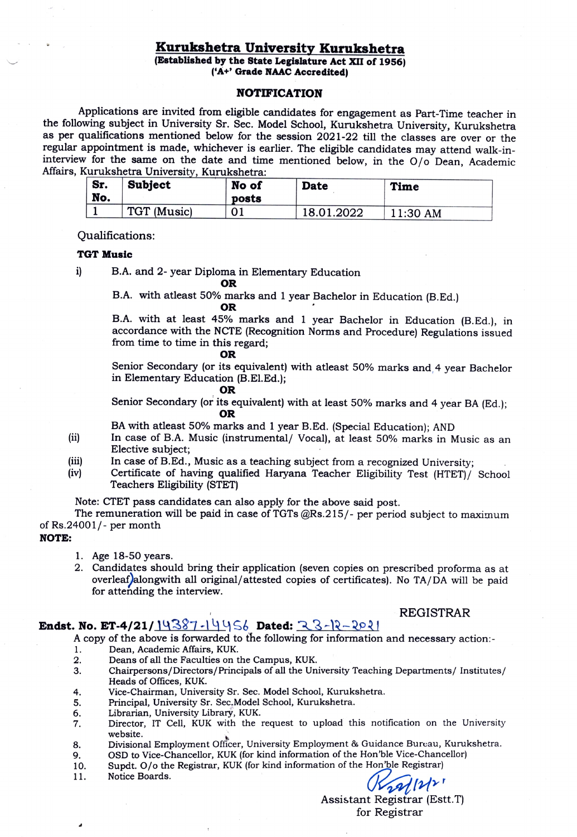### Kurukshetra University Kurukshetra

(Established by the State Legislature Act XII of 1956) ('A+' Grade NAAC Accredited)

#### NOTIFICATION

Applications are invited from eligible candidates for engagement as Part-Time teacher in the following subject in University Sr. Sec. Model School, Kurukshetra University, Kurukshetra as per qualifications mentioned below for the session 2021-22 till the classes are over or the regular appointment is made, whichever is earlier. The eligible candidates may attend walk-ininterview for the same on the date and time mentioned below, in the 0/o Dean, Academic Affairs, Kurukshetra University, Kurukshetra:

| `Sr.<br>No. | <b>Subject</b> | No of<br>posts | <b>Date</b> | <b>Time</b> |
|-------------|----------------|----------------|-------------|-------------|
|             | TGT (Music)    | UІ             | 18.01.2022  | 11:30 AM    |

Qualifications:

#### TGT Music

i) B.A. and 2- year Diploma in Elementary Education

OR

B.A. with atleast 50% marks and 1 year Bachelor in Education (B.Ed.)<br>OR

B.A. with at least 45% marks and 1 year Bachelor in Education (B.Ed.), in accordance with the NCTE (Recognition Norms and Procedure) Regulations issued from time to time in this regard;

#### OR

Senior Secondary (or its equivalent) with atleast 50% marks and 4 year Bachelor in Elementary Education (B.El.Ed.);

### OR

Senior Secondary (or its equivalent) with at least 50% marks and 4 year BA (Ed.); OR

BA with atleast 50% marks and 1 year B.Ed. (Special Education); AND

- $(ii)$ In case of B.A. Music (instrumental/ Vocal), at least 50% marks in Music as an Elective subject;
- In case of B.Ed., Music as a teaching subject from a recognized University; ii)
- Certificate of having qualified Haryana Teacher Eligibility Test (HTET)/ Schoo Teachers Eligibility (STET) (iv)

Note: CTET pass candidates can also apply for the above said post.

The remuneration will be paid in case of TGTs @Rs.215/- per period subject to maximum of Rs.24001/- per month

#### NOTE

- 1. Age 18-50 years.
- 2. Candidates should bring their application (seven copies on prescribed proforma as at overleaf) alongwith all original/attested copies of certificates). No TA/DA will be paid for attending the interview.

#### REGISTRAR

### Endst. No. ET-4/21/14387-14456 Dated:  $23-12-2021$

A copy of the above is forwarded to the following for information and necessary action:

- Dean, Academic Affairs, KUK. 1.
- Deans of all the Faculties on the Campus, KUK. 2.
- Chairpersons/Directors/Principals of all the University Teaching Departments/ Institutes/ Heads of Offices, KUK. 3.
- Vice-Chairman, University Sr. Sec. Model School, Kurukshetra. 4.
- Principal, University Sr. Sec.Model School, Kurukshetra. 5.
- Librarian, University Library, KUK. 6.
- Director, IT Cell, KUK with the request to upload this notification on the University website. 7.
- Divisional Employment Officer, University Employment & Guidance Bureau, Kurukshetra. 3.
- OSD to Vice-Chancellor, KUK (for kind information of the Hon'ble Vice-Chancellor) 9.
- Supdt. O/o the Registrar, KUK (for kind information of the Hon'ble Registrar) 10.
- Notice Boards. 11.

 $29/121$ 

Assistant Registrar (Estt.T) for Registrar